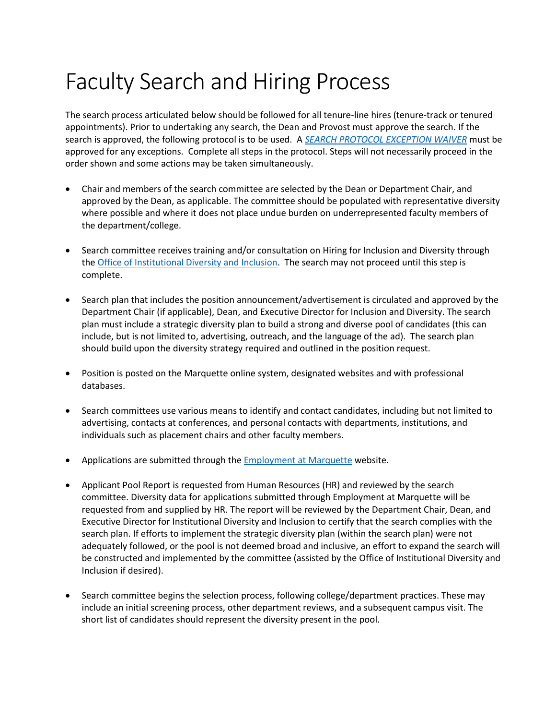## Faculty Search and Hiring Process

The search process articulated below should be followed for all tenure-line hires (tenure-track or tenured appointments). Prior to undertaking any search, the Dean and Provost must approve the search. If the search is approved, the following protocol is to be used. A *[SEARCH PROTOCOL EXCEPTION WAIVER](https://www.marquette.edu/provost/documents/ExceptiontoSearchPolicy-9.29.2016.pdf)* must be approved for any exceptions. Complete all steps in the protocol. Steps will not necessarily proceed in the order shown and some actions may be taken simultaneously.

- Chair and members of the search committee are selected by the Dean or Department Chair, and approved by the Dean, as applicable. The committee should be populated with representative diversity where possible and where it does not place undue burden on underrepresented faculty members of the department/college.
- Search committee receives training and/or consultation on Hiring for Inclusion and Diversity through th[e Office of Institutional Diversity and Inclusion.](http://www.marquette.edu/diversity/) The search may not proceed until this step is complete.
- Search plan that includes the position announcement/advertisement is circulated and approved by the Department Chair (if applicable), Dean, and Executive Director for Inclusion and Diversity. The search plan must include a strategic diversity plan to build a strong and diverse pool of candidates (this can include, but is not limited to, advertising, outreach, and the language of the ad). The search plan should build upon the diversity strategy required and outlined in the position request.
- Position is posted on the Marquette online system, designated websites and with professional databases.
- Search committees use various means to identify and contact candidates, including but not limited to advertising, contacts at conferences, and personal contacts with departments, institutions, and individuals such as placement chairs and other faculty members.
- Applications are submitted through th[e Employment at Marquette](https://employment.marquette.edu/) website.
- Applicant Pool Report is requested from Human Resources (HR) and reviewed by the search committee. Diversity data for applications submitted through Employment at Marquette will be requested from and supplied by HR. The report will be reviewed by the Department Chair, Dean, and Executive Director for Institutional Diversity and Inclusion to certify that the search complies with the search plan. If efforts to implement the strategic diversity plan (within the search plan) were not adequately followed, or the pool is not deemed broad and inclusive, an effort to expand the search will be constructed and implemented by the committee (assisted by the Office of Institutional Diversity and Inclusion if desired).
- Search committee begins the selection process, following college/department practices. These may include an initial screening process, other department reviews, and a subsequent campus visit. The short list of candidates should represent the diversity present in the pool.